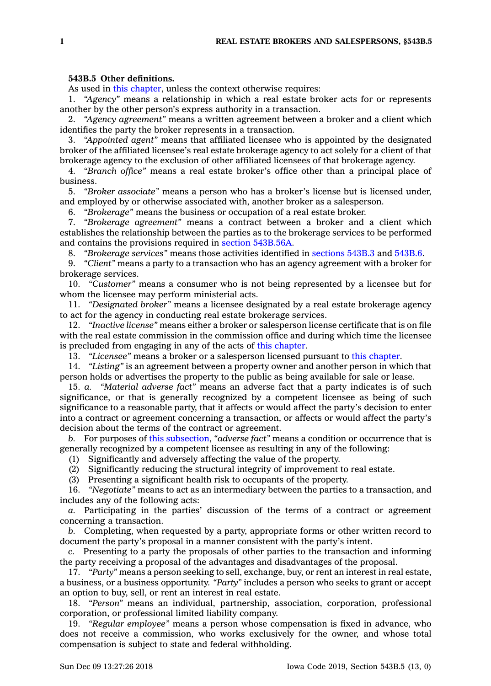## **543B.5 Other definitions.**

As used in this [chapter](https://www.legis.iowa.gov/docs/code//543B.pdf), unless the context otherwise requires:

1. *"Agency"* means <sup>a</sup> relationship in which <sup>a</sup> real estate broker acts for or represents another by the other person's express authority in <sup>a</sup> transaction.

2. *"Agency agreement"* means <sup>a</sup> written agreement between <sup>a</sup> broker and <sup>a</sup> client which identifies the party the broker represents in <sup>a</sup> transaction.

3. *"Appointed agent"* means that affiliated licensee who is appointed by the designated broker of the affiliated licensee's real estate brokerage agency to act solely for <sup>a</sup> client of that brokerage agency to the exclusion of other affiliated licensees of that brokerage agency.

4. *"Branch office"* means <sup>a</sup> real estate broker's office other than <sup>a</sup> principal place of business.

5. *"Broker associate"* means <sup>a</sup> person who has <sup>a</sup> broker's license but is licensed under, and employed by or otherwise associated with, another broker as <sup>a</sup> salesperson.

6. *"Brokerage"* means the business or occupation of <sup>a</sup> real estate broker.

7. *"Brokerage agreement"* means <sup>a</sup> contract between <sup>a</sup> broker and <sup>a</sup> client which establishes the relationship between the parties as to the brokerage services to be performed and contains the provisions required in section [543B.56A](https://www.legis.iowa.gov/docs/code/543B.56A.pdf).

8. *"Brokerage services"* means those activities identified in [sections](https://www.legis.iowa.gov/docs/code/543B.3.pdf) 543B.3 and [543B.6](https://www.legis.iowa.gov/docs/code/543B.6.pdf).

9. *"Client"* means <sup>a</sup> party to <sup>a</sup> transaction who has an agency agreement with <sup>a</sup> broker for brokerage services.

10. *"Customer"* means <sup>a</sup> consumer who is not being represented by <sup>a</sup> licensee but for whom the licensee may perform ministerial acts.

11. *"Designated broker"* means <sup>a</sup> licensee designated by <sup>a</sup> real estate brokerage agency to act for the agency in conducting real estate brokerage services.

12. *"Inactive license"* means either <sup>a</sup> broker or salesperson license certificate that is on file with the real estate commission in the commission office and during which time the licensee is precluded from engaging in any of the acts of this [chapter](https://www.legis.iowa.gov/docs/code//543B.pdf).

13. *"Licensee"* means <sup>a</sup> broker or <sup>a</sup> salesperson licensed pursuant to this [chapter](https://www.legis.iowa.gov/docs/code//543B.pdf).

14. *"Listing"* is an agreement between <sup>a</sup> property owner and another person in which that person holds or advertises the property to the public as being available for sale or lease.

15. *a. "Material adverse fact"* means an adverse fact that <sup>a</sup> party indicates is of such significance, or that is generally recognized by <sup>a</sup> competent licensee as being of such significance to <sup>a</sup> reasonable party, that it affects or would affect the party's decision to enter into <sup>a</sup> contract or agreement concerning <sup>a</sup> transaction, or affects or would affect the party's decision about the terms of the contract or agreement.

*b.* For purposes of this [subsection](https://www.legis.iowa.gov/docs/code/543B.5.pdf), *"adverse fact"* means <sup>a</sup> condition or occurrence that is generally recognized by <sup>a</sup> competent licensee as resulting in any of the following:

(1) Significantly and adversely affecting the value of the property.

(2) Significantly reducing the structural integrity of improvement to real estate.

(3) Presenting <sup>a</sup> significant health risk to occupants of the property.

16. *"Negotiate"* means to act as an intermediary between the parties to <sup>a</sup> transaction, and includes any of the following acts:

*a.* Participating in the parties' discussion of the terms of <sup>a</sup> contract or agreement concerning <sup>a</sup> transaction.

*b.* Completing, when requested by <sup>a</sup> party, appropriate forms or other written record to document the party's proposal in <sup>a</sup> manner consistent with the party's intent.

*c.* Presenting to <sup>a</sup> party the proposals of other parties to the transaction and informing the party receiving <sup>a</sup> proposal of the advantages and disadvantages of the proposal.

17. *"Party"* means <sup>a</sup> person seeking to sell, exchange, buy, or rent an interest in real estate, <sup>a</sup> business, or <sup>a</sup> business opportunity. *"Party"* includes <sup>a</sup> person who seeks to grant or accept an option to buy, sell, or rent an interest in real estate.

18. *"Person"* means an individual, partnership, association, corporation, professional corporation, or professional limited liability company.

19. *"Regular employee"* means <sup>a</sup> person whose compensation is fixed in advance, who does not receive <sup>a</sup> commission, who works exclusively for the owner, and whose total compensation is subject to state and federal withholding.